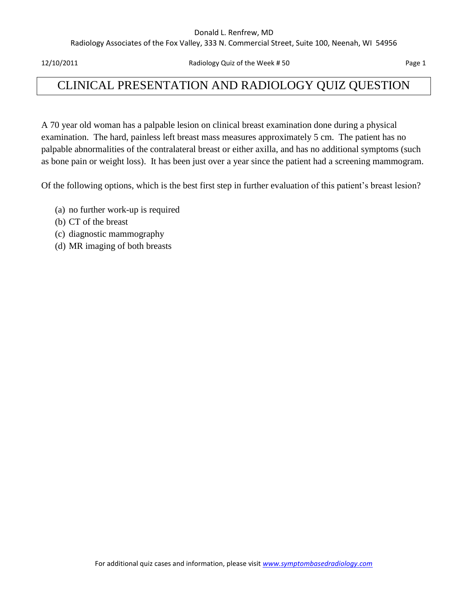#### Donald L. Renfrew, MD

Radiology Associates of the Fox Valley, 333 N. Commercial Street, Suite 100, Neenah, WI 54956

12/10/2011 Radiology Quiz of the Week # 50 Page 1

## CLINICAL PRESENTATION AND RADIOLOGY QUIZ QUESTION

A 70 year old woman has a palpable lesion on clinical breast examination done during a physical examination. The hard, painless left breast mass measures approximately 5 cm. The patient has no palpable abnormalities of the contralateral breast or either axilla, and has no additional symptoms (such as bone pain or weight loss). It has been just over a year since the patient had a screening mammogram.

Of the following options, which is the best first step in further evaluation of this patient's breast lesion?

- (a) no further work-up is required
- (b) CT of the breast
- (c) diagnostic mammography
- (d) MR imaging of both breasts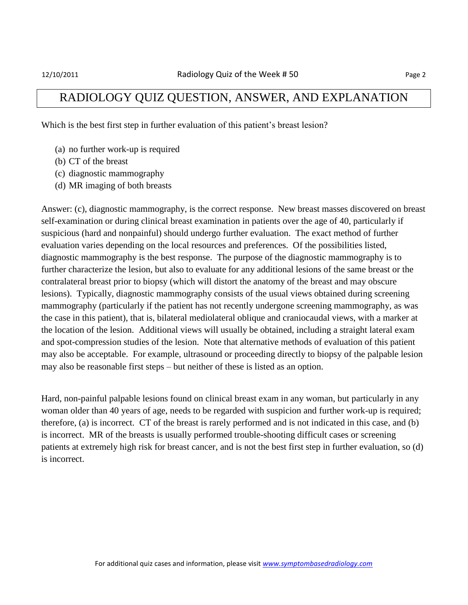### RADIOLOGY QUIZ QUESTION, ANSWER, AND EXPLANATION

Which is the best first step in further evaluation of this patient's breast lesion?

- (a) no further work-up is required
- (b) CT of the breast
- (c) diagnostic mammography
- (d) MR imaging of both breasts

Answer: (c), diagnostic mammography, is the correct response. New breast masses discovered on breast self-examination or during clinical breast examination in patients over the age of 40, particularly if suspicious (hard and nonpainful) should undergo further evaluation. The exact method of further evaluation varies depending on the local resources and preferences. Of the possibilities listed, diagnostic mammography is the best response. The purpose of the diagnostic mammography is to further characterize the lesion, but also to evaluate for any additional lesions of the same breast or the contralateral breast prior to biopsy (which will distort the anatomy of the breast and may obscure lesions). Typically, diagnostic mammography consists of the usual views obtained during screening mammography (particularly if the patient has not recently undergone screening mammography, as was the case in this patient), that is, bilateral mediolateral oblique and craniocaudal views, with a marker at the location of the lesion. Additional views will usually be obtained, including a straight lateral exam and spot-compression studies of the lesion. Note that alternative methods of evaluation of this patient may also be acceptable. For example, ultrasound or proceeding directly to biopsy of the palpable lesion may also be reasonable first steps – but neither of these is listed as an option.

Hard, non-painful palpable lesions found on clinical breast exam in any woman, but particularly in any woman older than 40 years of age, needs to be regarded with suspicion and further work-up is required; therefore, (a) is incorrect. CT of the breast is rarely performed and is not indicated in this case, and (b) is incorrect. MR of the breasts is usually performed trouble-shooting difficult cases or screening patients at extremely high risk for breast cancer, and is not the best first step in further evaluation, so (d) is incorrect.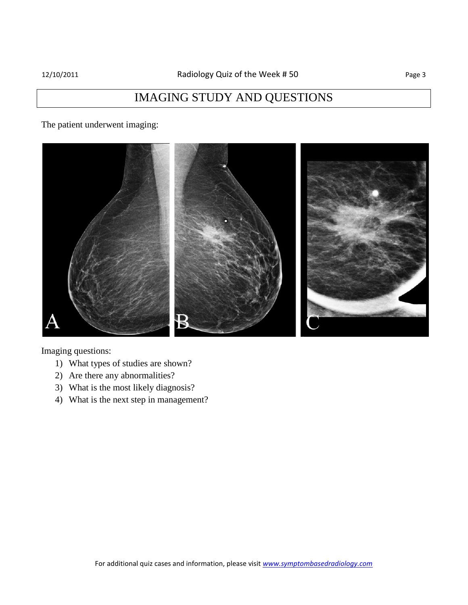## IMAGING STUDY AND QUESTIONS

The patient underwent imaging:



Imaging questions:

- 1) What types of studies are shown?
- 2) Are there any abnormalities?
- 3) What is the most likely diagnosis?
- 4) What is the next step in management?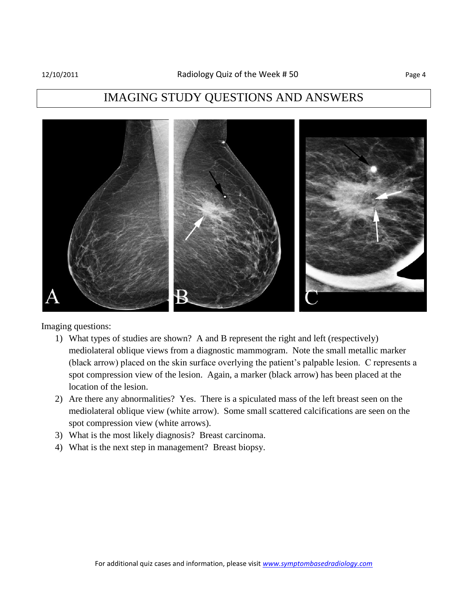### IMAGING STUDY QUESTIONS AND ANSWERS



Imaging questions:

- 1) What types of studies are shown? A and B represent the right and left (respectively) mediolateral oblique views from a diagnostic mammogram. Note the small metallic marker (black arrow) placed on the skin surface overlying the patient's palpable lesion. C represents a spot compression view of the lesion. Again, a marker (black arrow) has been placed at the location of the lesion.
- 2) Are there any abnormalities? Yes. There is a spiculated mass of the left breast seen on the mediolateral oblique view (white arrow). Some small scattered calcifications are seen on the spot compression view (white arrows).
- 3) What is the most likely diagnosis? Breast carcinoma.
- 4) What is the next step in management? Breast biopsy.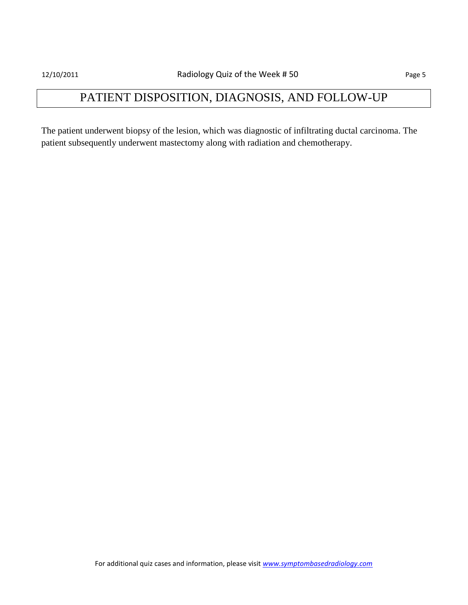# PATIENT DISPOSITION, DIAGNOSIS, AND FOLLOW-UP

The patient underwent biopsy of the lesion, which was diagnostic of infiltrating ductal carcinoma. The patient subsequently underwent mastectomy along with radiation and chemotherapy.